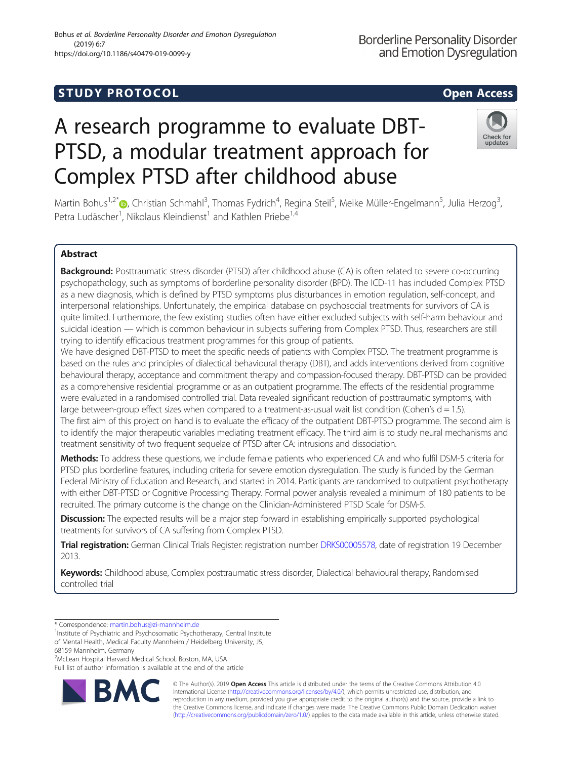# A research programme to evaluate DBT-PTSD, a modular treatment approach for Complex PTSD after childhood abuse



Martin Bohus<sup>1[,](http://orcid.org/0000-0002-1768-3608)2\*</sup>®, Christian Schmahl<sup>3</sup>, Thomas Fydrich<sup>4</sup>, Regina Steil<sup>5</sup>, Meike Müller-Engelmann<sup>5</sup>, Julia Herzog<sup>3</sup> , Petra Ludäscher<sup>1</sup>, Nikolaus Kleindienst<sup>1</sup> and Kathlen Priebe<sup>1,4</sup>

# Abstract

Background: Posttraumatic stress disorder (PTSD) after childhood abuse (CA) is often related to severe co-occurring psychopathology, such as symptoms of borderline personality disorder (BPD). The ICD-11 has included Complex PTSD as a new diagnosis, which is defined by PTSD symptoms plus disturbances in emotion regulation, self-concept, and interpersonal relationships. Unfortunately, the empirical database on psychosocial treatments for survivors of CA is quite limited. Furthermore, the few existing studies often have either excluded subjects with self-harm behaviour and suicidal ideation — which is common behaviour in subjects suffering from Complex PTSD. Thus, researchers are still trying to identify efficacious treatment programmes for this group of patients.

We have designed DBT-PTSD to meet the specific needs of patients with Complex PTSD. The treatment programme is based on the rules and principles of dialectical behavioural therapy (DBT), and adds interventions derived from cognitive behavioural therapy, acceptance and commitment therapy and compassion-focused therapy. DBT-PTSD can be provided as a comprehensive residential programme or as an outpatient programme. The effects of the residential programme were evaluated in a randomised controlled trial. Data revealed significant reduction of posttraumatic symptoms, with large between-group effect sizes when compared to a treatment-as-usual wait list condition (Cohen's  $d = 1.5$ ). The first aim of this project on hand is to evaluate the efficacy of the outpatient DBT-PTSD programme. The second aim is to identify the major therapeutic variables mediating treatment efficacy. The third aim is to study neural mechanisms and treatment sensitivity of two frequent sequelae of PTSD after CA: intrusions and dissociation.

Methods: To address these questions, we include female patients who experienced CA and who fulfil DSM-5 criteria for PTSD plus borderline features, including criteria for severe emotion dysregulation. The study is funded by the German Federal Ministry of Education and Research, and started in 2014. Participants are randomised to outpatient psychotherapy with either DBT-PTSD or Cognitive Processing Therapy. Formal power analysis revealed a minimum of 180 patients to be recruited. The primary outcome is the change on the Clinician-Administered PTSD Scale for DSM-5.

**Discussion:** The expected results will be a major step forward in establishing empirically supported psychological treatments for survivors of CA suffering from Complex PTSD.

Trial registration: German Clinical Trials Register: registration number [DRKS00005578,](https://www.drks.de/drks_web/navigate.do?navigationId=trial.HTML&TRIAL_ID=DRKS00005578) date of registration 19 December 2013.

Keywords: Childhood abuse, Complex posttraumatic stress disorder, Dialectical behavioural therapy, Randomised controlled trial

Full list of author information is available at the end of the article



© The Author(s). 2019 **Open Access** This article is distributed under the terms of the Creative Commons Attribution 4.0 International License [\(http://creativecommons.org/licenses/by/4.0/](http://creativecommons.org/licenses/by/4.0/)), which permits unrestricted use, distribution, and reproduction in any medium, provided you give appropriate credit to the original author(s) and the source, provide a link to the Creative Commons license, and indicate if changes were made. The Creative Commons Public Domain Dedication waiver [\(http://creativecommons.org/publicdomain/zero/1.0/](http://creativecommons.org/publicdomain/zero/1.0/)) applies to the data made available in this article, unless otherwise stated.

<sup>\*</sup> Correspondence: [martin.bohus@zi-mannheim.de](mailto:martin.bohus@zi-mannheim.de) <sup>1</sup>

 $<sup>1</sup>$ Institute of Psychiatric and Psychosomatic Psychotherapy, Central Institute</sup> of Mental Health, Medical Faculty Mannheim / Heidelberg University, J5,

<sup>68159</sup> Mannheim, Germany

<sup>2</sup> McLean Hospital Harvard Medical School, Boston, MA, USA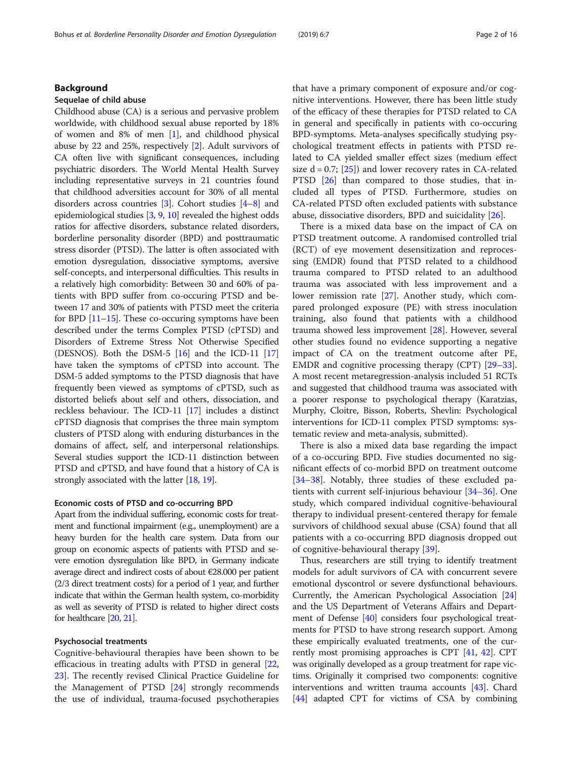# Background

#### Sequelae of child abuse

Childhood abuse (CA) is a serious and pervasive problem worldwide, with childhood sexual abuse reported by 18% of women and 8% of men [[1\]](#page-12-0), and childhood physical abuse by 22 and 25%, respectively [[2](#page-12-0)]. Adult survivors of CA often live with significant consequences, including psychiatric disorders. The World Mental Health Survey including representative surveys in 21 countries found that childhood adversities account for 30% of all mental disorders across countries [[3\]](#page-12-0). Cohort studies [[4](#page-12-0)–[8](#page-12-0)] and epidemiological studies [\[3](#page-12-0), [9](#page-12-0), [10\]](#page-12-0) revealed the highest odds ratios for affective disorders, substance related disorders, borderline personality disorder (BPD) and posttraumatic stress disorder (PTSD). The latter is often associated with emotion dysregulation, dissociative symptoms, aversive self-concepts, and interpersonal difficulties. This results in a relatively high comorbidity: Between 30 and 60% of patients with BPD suffer from co-occuring PTSD and between 17 and 30% of patients with PTSD meet the criteria for BPD  $[11–15]$  $[11–15]$  $[11–15]$  $[11–15]$ . These co-occuring symptoms have been described under the terms Complex PTSD (cPTSD) and Disorders of Extreme Stress Not Otherwise Specified (DESNOS). Both the DSM-5 [\[16](#page-13-0)] and the ICD-11 [[17](#page-13-0)] have taken the symptoms of cPTSD into account. The DSM-5 added symptoms to the PTSD diagnosis that have frequently been viewed as symptoms of cPTSD, such as distorted beliefs about self and others, dissociation, and reckless behaviour. The ICD-11 [\[17\]](#page-13-0) includes a distinct cPTSD diagnosis that comprises the three main symptom clusters of PTSD along with enduring disturbances in the domains of affect, self, and interpersonal relationships. Several studies support the ICD-11 distinction between PTSD and cPTSD, and have found that a history of CA is strongly associated with the latter [\[18](#page-13-0), [19](#page-13-0)].

#### Economic costs of PTSD and co-occurring BPD

Apart from the individual suffering, economic costs for treatment and functional impairment (e.g., unemployment) are a heavy burden for the health care system. Data from our group on economic aspects of patients with PTSD and severe emotion dysregulation like BPD, in Germany indicate average direct and indirect costs of about €28.000 per patient (2/3 direct treatment costs) for a period of 1 year, and further indicate that within the German health system, co-morbidity as well as severity of PTSD is related to higher direct costs for healthcare [\[20](#page-13-0), [21\]](#page-13-0).

### Psychosocial treatments

Cognitive-behavioural therapies have been shown to be efficacious in treating adults with PTSD in general [[22](#page-13-0), [23\]](#page-13-0). The recently revised Clinical Practice Guideline for the Management of PTSD [[24\]](#page-13-0) strongly recommends the use of individual, trauma-focused psychotherapies that have a primary component of exposure and/or cognitive interventions. However, there has been little study of the efficacy of these therapies for PTSD related to CA in general and specifically in patients with co-occuring BPD-symptoms. Meta-analyses specifically studying psychological treatment effects in patients with PTSD related to CA yielded smaller effect sizes (medium effect size  $d = 0.7$ ; [\[25](#page-13-0)]) and lower recovery rates in CA-related PTSD [[26\]](#page-13-0) than compared to those studies, that included all types of PTSD. Furthermore, studies on CA-related PTSD often excluded patients with substance abuse, dissociative disorders, BPD and suicidality [\[26](#page-13-0)].

There is a mixed data base on the impact of CA on PTSD treatment outcome. A randomised controlled trial (RCT) of eye movement desensitization and reprocessing (EMDR) found that PTSD related to a childhood trauma compared to PTSD related to an adulthood trauma was associated with less improvement and a lower remission rate [\[27](#page-13-0)]. Another study, which compared prolonged exposure (PE) with stress inoculation training, also found that patients with a childhood trauma showed less improvement [[28\]](#page-13-0). However, several other studies found no evidence supporting a negative impact of CA on the treatment outcome after PE, EMDR and cognitive processing therapy (CPT) [[29](#page-13-0)–[33](#page-13-0)]. A most recent metaregression-analysis included 51 RCTs and suggested that childhood trauma was associated with a poorer response to psychological therapy (Karatzias, Murphy, Cloitre, Bisson, Roberts, Shevlin: Psychological interventions for ICD-11 complex PTSD symptoms: systematic review and meta-analysis, submitted).

There is also a mixed data base regarding the impact of a co-occuring BPD. Five studies documented no significant effects of co-morbid BPD on treatment outcome [[34](#page-13-0)–[38](#page-13-0)]. Notably, three studies of these excluded patients with current self-injurious behaviour [\[34](#page-13-0)–[36\]](#page-13-0). One study, which compared individual cognitive-behavioural therapy to individual present-centered therapy for female survivors of childhood sexual abuse (CSA) found that all patients with a co-occurring BPD diagnosis dropped out of cognitive-behavioural therapy [[39\]](#page-13-0).

Thus, researchers are still trying to identify treatment models for adult survivors of CA with concurrent severe emotional dyscontrol or severe dysfunctional behaviours. Currently, the American Psychological Association [[24](#page-13-0)] and the US Department of Veterans Affairs and Department of Defense [\[40\]](#page-13-0) considers four psychological treatments for PTSD to have strong research support. Among these empirically evaluated treatments, one of the currently most promising approaches is CPT [\[41,](#page-13-0) [42\]](#page-13-0). CPT was originally developed as a group treatment for rape victims. Originally it comprised two components: cognitive interventions and written trauma accounts [[43](#page-13-0)]. Chard [[44](#page-13-0)] adapted CPT for victims of CSA by combining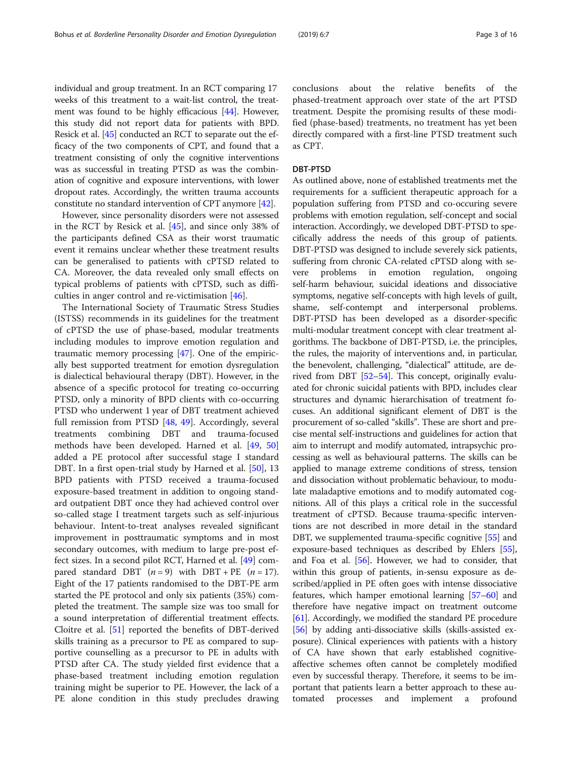individual and group treatment. In an RCT comparing 17 weeks of this treatment to a wait-list control, the treatment was found to be highly efficacious [[44](#page-13-0)]. However, this study did not report data for patients with BPD. Resick et al. [\[45\]](#page-13-0) conducted an RCT to separate out the efficacy of the two components of CPT, and found that a treatment consisting of only the cognitive interventions was as successful in treating PTSD as was the combination of cognitive and exposure interventions, with lower dropout rates. Accordingly, the written trauma accounts constitute no standard intervention of CPT anymore [\[42\]](#page-13-0).

However, since personality disorders were not assessed in the RCT by Resick et al. [[45\]](#page-13-0), and since only 38% of the participants defined CSA as their worst traumatic event it remains unclear whether these treatment results can be generalised to patients with cPTSD related to CA. Moreover, the data revealed only small effects on typical problems of patients with cPTSD, such as difficulties in anger control and re-victimisation [[46\]](#page-13-0).

The International Society of Traumatic Stress Studies (ISTSS) recommends in its guidelines for the treatment of cPTSD the use of phase-based, modular treatments including modules to improve emotion regulation and traumatic memory processing [\[47](#page-13-0)]. One of the empirically best supported treatment for emotion dysregulation is dialectical behavioural therapy (DBT). However, in the absence of a specific protocol for treating co-occurring PTSD, only a minority of BPD clients with co-occurring PTSD who underwent 1 year of DBT treatment achieved full remission from PTSD [\[48](#page-13-0), [49](#page-13-0)]. Accordingly, several treatments combining DBT and trauma-focused methods have been developed. Harned et al. [\[49](#page-13-0), [50](#page-13-0)] added a PE protocol after successful stage I standard DBT. In a first open-trial study by Harned et al. [\[50](#page-13-0)], 13 BPD patients with PTSD received a trauma-focused exposure-based treatment in addition to ongoing standard outpatient DBT once they had achieved control over so-called stage I treatment targets such as self-injurious behaviour. Intent-to-treat analyses revealed significant improvement in posttraumatic symptoms and in most secondary outcomes, with medium to large pre-post effect sizes. In a second pilot RCT, Harned et al. [\[49](#page-13-0)] compared standard DBT  $(n = 9)$  with DBT + PE  $(n = 17)$ . Eight of the 17 patients randomised to the DBT-PE arm started the PE protocol and only six patients (35%) completed the treatment. The sample size was too small for a sound interpretation of differential treatment effects. Cloitre et al. [[51\]](#page-13-0) reported the benefits of DBT-derived skills training as a precursor to PE as compared to supportive counselling as a precursor to PE in adults with PTSD after CA. The study yielded first evidence that a phase-based treatment including emotion regulation training might be superior to PE. However, the lack of a PE alone condition in this study precludes drawing conclusions about the relative benefits of the phased-treatment approach over state of the art PTSD treatment. Despite the promising results of these modified (phase-based) treatments, no treatment has yet been directly compared with a first-line PTSD treatment such as CPT.

#### DBT-PTSD

As outlined above, none of established treatments met the requirements for a sufficient therapeutic approach for a population suffering from PTSD and co-occuring severe problems with emotion regulation, self-concept and social interaction. Accordingly, we developed DBT-PTSD to specifically address the needs of this group of patients. DBT-PTSD was designed to include severely sick patients, suffering from chronic CA-related cPTSD along with severe problems in emotion regulation, ongoing self-harm behaviour, suicidal ideations and dissociative symptoms, negative self-concepts with high levels of guilt, shame, self-contempt and interpersonal problems. DBT-PTSD has been developed as a disorder-specific multi-modular treatment concept with clear treatment algorithms. The backbone of DBT-PTSD, i.e. the principles, the rules, the majority of interventions and, in particular, the benevolent, challenging, "dialectical" attitude, are derived from DBT [[52](#page-13-0)–[54\]](#page-13-0). This concept, originally evaluated for chronic suicidal patients with BPD, includes clear structures and dynamic hierarchisation of treatment focuses. An additional significant element of DBT is the procurement of so-called "skills". These are short and precise mental self-instructions and guidelines for action that aim to interrupt and modify automated, intrapsychic processing as well as behavioural patterns. The skills can be applied to manage extreme conditions of stress, tension and dissociation without problematic behaviour, to modulate maladaptive emotions and to modify automated cognitions. All of this plays a critical role in the successful treatment of cPTSD. Because trauma-specific interventions are not described in more detail in the standard DBT, we supplemented trauma-specific cognitive [\[55\]](#page-13-0) and exposure-based techniques as described by Ehlers [[55](#page-13-0)], and Foa et al. [[56](#page-14-0)]. However, we had to consider, that within this group of patients, in-sensu exposure as described/applied in PE often goes with intense dissociative features, which hamper emotional learning [\[57](#page-14-0)–[60](#page-14-0)] and therefore have negative impact on treatment outcome [[61](#page-14-0)]. Accordingly, we modified the standard PE procedure [[56](#page-14-0)] by adding anti-dissociative skills (skills-assisted exposure). Clinical experiences with patients with a history of CA have shown that early established cognitiveaffective schemes often cannot be completely modified even by successful therapy. Therefore, it seems to be important that patients learn a better approach to these automated processes and implement a profound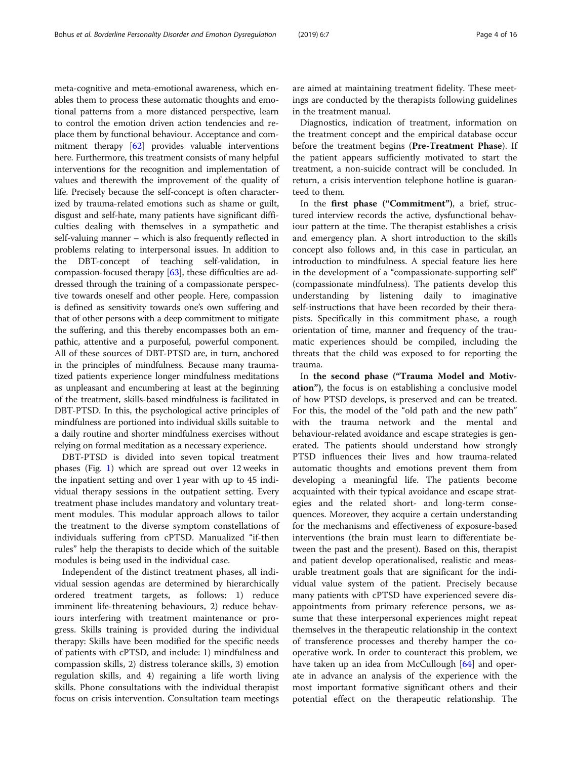meta-cognitive and meta-emotional awareness, which enables them to process these automatic thoughts and emotional patterns from a more distanced perspective, learn to control the emotion driven action tendencies and replace them by functional behaviour. Acceptance and commitment therapy [\[62\]](#page-14-0) provides valuable interventions here. Furthermore, this treatment consists of many helpful interventions for the recognition and implementation of values and therewith the improvement of the quality of life. Precisely because the self-concept is often characterized by trauma-related emotions such as shame or guilt, disgust and self-hate, many patients have significant difficulties dealing with themselves in a sympathetic and self-valuing manner – which is also frequently reflected in problems relating to interpersonal issues. In addition to the DBT-concept of teaching self-validation, in compassion-focused therapy [[63](#page-14-0)], these difficulties are addressed through the training of a compassionate perspective towards oneself and other people. Here, compassion is defined as sensitivity towards one's own suffering and that of other persons with a deep commitment to mitigate the suffering, and this thereby encompasses both an empathic, attentive and a purposeful, powerful component. All of these sources of DBT-PTSD are, in turn, anchored in the principles of mindfulness. Because many traumatized patients experience longer mindfulness meditations as unpleasant and encumbering at least at the beginning of the treatment, skills-based mindfulness is facilitated in DBT-PTSD. In this, the psychological active principles of mindfulness are portioned into individual skills suitable to a daily routine and shorter mindfulness exercises without relying on formal meditation as a necessary experience.

DBT-PTSD is divided into seven topical treatment phases (Fig. [1\)](#page-4-0) which are spread out over 12 weeks in the inpatient setting and over 1 year with up to 45 individual therapy sessions in the outpatient setting. Every treatment phase includes mandatory and voluntary treatment modules. This modular approach allows to tailor the treatment to the diverse symptom constellations of individuals suffering from cPTSD. Manualized "if-then rules" help the therapists to decide which of the suitable modules is being used in the individual case.

Independent of the distinct treatment phases, all individual session agendas are determined by hierarchically ordered treatment targets, as follows: 1) reduce imminent life-threatening behaviours, 2) reduce behaviours interfering with treatment maintenance or progress. Skills training is provided during the individual therapy: Skills have been modified for the specific needs of patients with cPTSD, and include: 1) mindfulness and compassion skills, 2) distress tolerance skills, 3) emotion regulation skills, and 4) regaining a life worth living skills. Phone consultations with the individual therapist focus on crisis intervention. Consultation team meetings are aimed at maintaining treatment fidelity. These meetings are conducted by the therapists following guidelines in the treatment manual.

Diagnostics, indication of treatment, information on the treatment concept and the empirical database occur before the treatment begins (Pre-Treatment Phase). If the patient appears sufficiently motivated to start the treatment, a non-suicide contract will be concluded. In return, a crisis intervention telephone hotline is guaranteed to them.

In the first phase ("Commitment"), a brief, structured interview records the active, dysfunctional behaviour pattern at the time. The therapist establishes a crisis and emergency plan. A short introduction to the skills concept also follows and, in this case in particular, an introduction to mindfulness. A special feature lies here in the development of a "compassionate-supporting self" (compassionate mindfulness). The patients develop this understanding by listening daily to imaginative self-instructions that have been recorded by their therapists. Specifically in this commitment phase, a rough orientation of time, manner and frequency of the traumatic experiences should be compiled, including the threats that the child was exposed to for reporting the trauma.

In the second phase ("Trauma Model and Motivation"), the focus is on establishing a conclusive model of how PTSD develops, is preserved and can be treated. For this, the model of the "old path and the new path" with the trauma network and the mental and behaviour-related avoidance and escape strategies is generated. The patients should understand how strongly PTSD influences their lives and how trauma-related automatic thoughts and emotions prevent them from developing a meaningful life. The patients become acquainted with their typical avoidance and escape strategies and the related short- and long-term consequences. Moreover, they acquire a certain understanding for the mechanisms and effectiveness of exposure-based interventions (the brain must learn to differentiate between the past and the present). Based on this, therapist and patient develop operationalised, realistic and measurable treatment goals that are significant for the individual value system of the patient. Precisely because many patients with cPTSD have experienced severe disappointments from primary reference persons, we assume that these interpersonal experiences might repeat themselves in the therapeutic relationship in the context of transference processes and thereby hamper the cooperative work. In order to counteract this problem, we have taken up an idea from McCullough [[64](#page-14-0)] and operate in advance an analysis of the experience with the most important formative significant others and their potential effect on the therapeutic relationship. The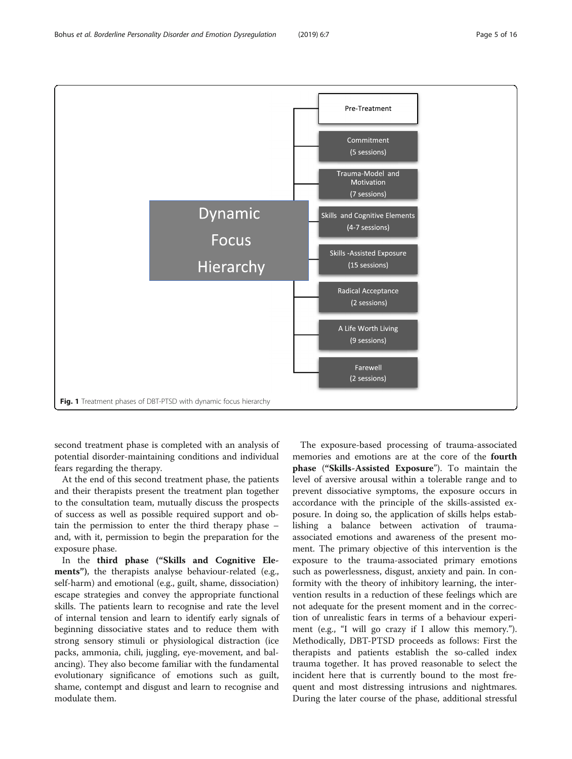<span id="page-4-0"></span>

second treatment phase is completed with an analysis of potential disorder-maintaining conditions and individual fears regarding the therapy.

At the end of this second treatment phase, the patients and their therapists present the treatment plan together to the consultation team, mutually discuss the prospects of success as well as possible required support and obtain the permission to enter the third therapy phase – and, with it, permission to begin the preparation for the exposure phase.

In the third phase ("Skills and Cognitive Elements"), the therapists analyse behaviour-related (e.g., self-harm) and emotional (e.g., guilt, shame, dissociation) escape strategies and convey the appropriate functional skills. The patients learn to recognise and rate the level of internal tension and learn to identify early signals of beginning dissociative states and to reduce them with strong sensory stimuli or physiological distraction (ice packs, ammonia, chili, juggling, eye-movement, and balancing). They also become familiar with the fundamental evolutionary significance of emotions such as guilt, shame, contempt and disgust and learn to recognise and modulate them.

The exposure-based processing of trauma-associated memories and emotions are at the core of the fourth phase ("Skills-Assisted Exposure"). To maintain the level of aversive arousal within a tolerable range and to prevent dissociative symptoms, the exposure occurs in accordance with the principle of the skills-assisted exposure. In doing so, the application of skills helps establishing a balance between activation of traumaassociated emotions and awareness of the present moment. The primary objective of this intervention is the exposure to the trauma-associated primary emotions such as powerlessness, disgust, anxiety and pain. In conformity with the theory of inhibitory learning, the intervention results in a reduction of these feelings which are not adequate for the present moment and in the correction of unrealistic fears in terms of a behaviour experiment (e.g., "I will go crazy if I allow this memory."). Methodically, DBT-PTSD proceeds as follows: First the therapists and patients establish the so-called index trauma together. It has proved reasonable to select the incident here that is currently bound to the most frequent and most distressing intrusions and nightmares. During the later course of the phase, additional stressful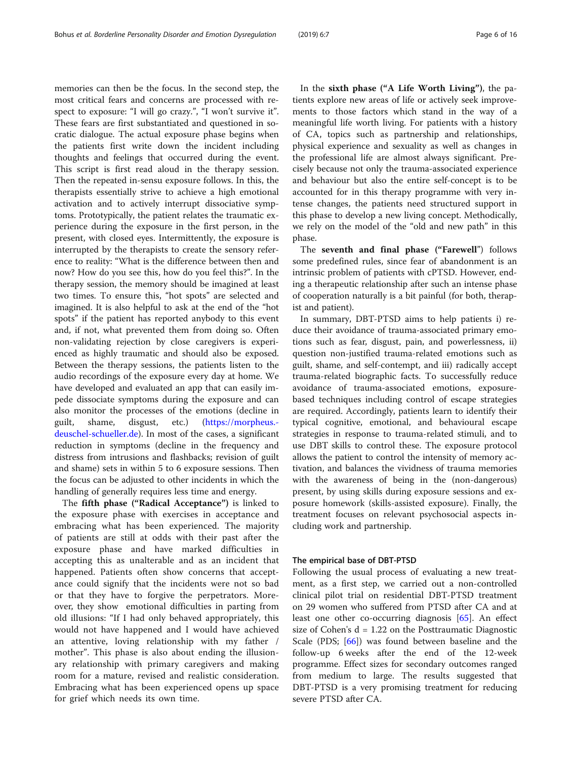memories can then be the focus. In the second step, the most critical fears and concerns are processed with respect to exposure: "I will go crazy.", "I won't survive it". These fears are first substantiated and questioned in socratic dialogue. The actual exposure phase begins when the patients first write down the incident including thoughts and feelings that occurred during the event. This script is first read aloud in the therapy session. Then the repeated in-sensu exposure follows. In this, the therapists essentially strive to achieve a high emotional activation and to actively interrupt dissociative symptoms. Prototypically, the patient relates the traumatic experience during the exposure in the first person, in the present, with closed eyes. Intermittently, the exposure is interrupted by the therapists to create the sensory reference to reality: "What is the difference between then and now? How do you see this, how do you feel this?". In the therapy session, the memory should be imagined at least two times. To ensure this, "hot spots" are selected and imagined. It is also helpful to ask at the end of the "hot spots" if the patient has reported anybody to this event and, if not, what prevented them from doing so. Often non-validating rejection by close caregivers is experienced as highly traumatic and should also be exposed. Between the therapy sessions, the patients listen to the audio recordings of the exposure every day at home. We have developed and evaluated an app that can easily impede dissociate symptoms during the exposure and can also monitor the processes of the emotions (decline in guilt, shame, disgust, etc.) ([https://morpheus.](https://morpheus.deuschel-schueller.de) [deuschel-schueller.de\)](https://morpheus.deuschel-schueller.de). In most of the cases, a significant reduction in symptoms (decline in the frequency and distress from intrusions and flashbacks; revision of guilt and shame) sets in within 5 to 6 exposure sessions. Then the focus can be adjusted to other incidents in which the handling of generally requires less time and energy.

The fifth phase ("Radical Acceptance") is linked to the exposure phase with exercises in acceptance and embracing what has been experienced. The majority of patients are still at odds with their past after the exposure phase and have marked difficulties in accepting this as unalterable and as an incident that happened. Patients often show concerns that acceptance could signify that the incidents were not so bad or that they have to forgive the perpetrators. Moreover, they show emotional difficulties in parting from old illusions: "If I had only behaved appropriately, this would not have happened and I would have achieved an attentive, loving relationship with my father / mother". This phase is also about ending the illusionary relationship with primary caregivers and making room for a mature, revised and realistic consideration. Embracing what has been experienced opens up space for grief which needs its own time.

In the sixth phase ("A Life Worth Living"), the patients explore new areas of life or actively seek improvements to those factors which stand in the way of a meaningful life worth living. For patients with a history of CA, topics such as partnership and relationships, physical experience and sexuality as well as changes in the professional life are almost always significant. Precisely because not only the trauma-associated experience and behaviour but also the entire self-concept is to be accounted for in this therapy programme with very intense changes, the patients need structured support in this phase to develop a new living concept. Methodically, we rely on the model of the "old and new path" in this phase.

The seventh and final phase ("Farewell") follows some predefined rules, since fear of abandonment is an intrinsic problem of patients with cPTSD. However, ending a therapeutic relationship after such an intense phase of cooperation naturally is a bit painful (for both, therapist and patient).

In summary, DBT-PTSD aims to help patients i) reduce their avoidance of trauma-associated primary emotions such as fear, disgust, pain, and powerlessness, ii) question non-justified trauma-related emotions such as guilt, shame, and self-contempt, and iii) radically accept trauma-related biographic facts. To successfully reduce avoidance of trauma-associated emotions, exposurebased techniques including control of escape strategies are required. Accordingly, patients learn to identify their typical cognitive, emotional, and behavioural escape strategies in response to trauma-related stimuli, and to use DBT skills to control these. The exposure protocol allows the patient to control the intensity of memory activation, and balances the vividness of trauma memories with the awareness of being in the (non-dangerous) present, by using skills during exposure sessions and exposure homework (skills-assisted exposure). Finally, the treatment focuses on relevant psychosocial aspects including work and partnership.

# The empirical base of DBT-PTSD

Following the usual process of evaluating a new treatment, as a first step, we carried out a non-controlled clinical pilot trial on residential DBT-PTSD treatment on 29 women who suffered from PTSD after CA and at least one other co-occurring diagnosis [[65](#page-14-0)]. An effect size of Cohen's  $d = 1.22$  on the Posttraumatic Diagnostic Scale (PDS; [\[66\]](#page-14-0)) was found between baseline and the follow-up 6 weeks after the end of the 12-week programme. Effect sizes for secondary outcomes ranged from medium to large. The results suggested that DBT-PTSD is a very promising treatment for reducing severe PTSD after CA.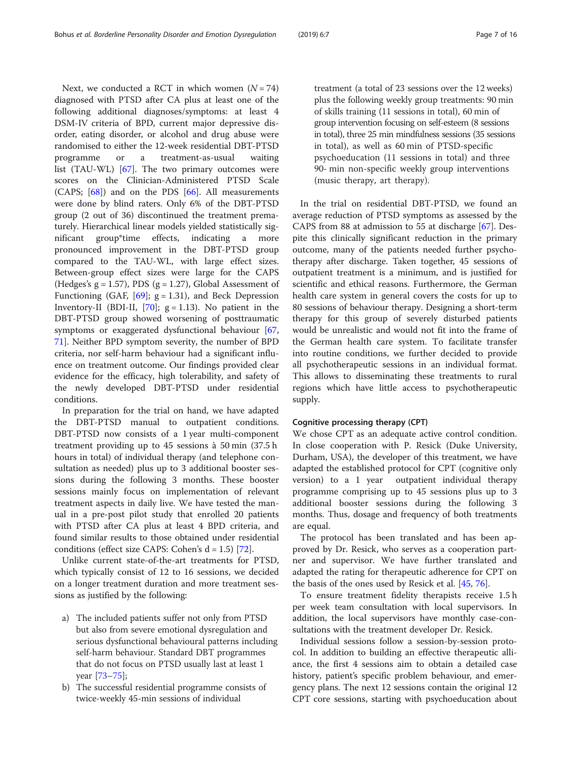Next, we conducted a RCT in which women  $(N = 74)$ diagnosed with PTSD after CA plus at least one of the following additional diagnoses/symptoms: at least 4 DSM-IV criteria of BPD, current major depressive disorder, eating disorder, or alcohol and drug abuse were randomised to either the 12-week residential DBT-PTSD programme or a treatment-as-usual waiting list (TAU-WL) [\[67](#page-14-0)]. The two primary outcomes were scores on the Clinician-Administered PTSD Scale (CAPS; [\[68](#page-14-0)]) and on the PDS [\[66](#page-14-0)]. All measurements were done by blind raters. Only 6% of the DBT-PTSD group (2 out of 36) discontinued the treatment prematurely. Hierarchical linear models yielded statistically significant group\*time effects, indicating a more pronounced improvement in the DBT-PTSD group compared to the TAU-WL, with large effect sizes. Between-group effect sizes were large for the CAPS (Hedges's  $g = 1.57$ ), PDS ( $g = 1.27$ ), Global Assessment of Functioning (GAF,  $[69]$  $[69]$ ; g = 1.31), and Beck Depression Inventory-II (BDI-II,  $[70]$  $[70]$ ;  $g = 1.13$ ). No patient in the DBT-PTSD group showed worsening of posttraumatic symptoms or exaggerated dysfunctional behaviour [[67](#page-14-0), [71\]](#page-14-0). Neither BPD symptom severity, the number of BPD criteria, nor self-harm behaviour had a significant influence on treatment outcome. Our findings provided clear evidence for the efficacy, high tolerability, and safety of the newly developed DBT-PTSD under residential conditions.

In preparation for the trial on hand, we have adapted the DBT-PTSD manual to outpatient conditions. DBT-PTSD now consists of a 1 year multi-component treatment providing up to 45 sessions à 50 min (37.5 h hours in total) of individual therapy (and telephone consultation as needed) plus up to 3 additional booster sessions during the following 3 months. These booster sessions mainly focus on implementation of relevant treatment aspects in daily live. We have tested the manual in a pre-post pilot study that enrolled 20 patients with PTSD after CA plus at least 4 BPD criteria, and found similar results to those obtained under residential conditions (effect size CAPS: Cohen's  $d = 1.5$ ) [\[72](#page-14-0)].

Unlike current state-of-the-art treatments for PTSD, which typically consist of 12 to 16 sessions, we decided on a longer treatment duration and more treatment sessions as justified by the following:

- a) The included patients suffer not only from PTSD but also from severe emotional dysregulation and serious dysfunctional behavioural patterns including self-harm behaviour. Standard DBT programmes that do not focus on PTSD usually last at least 1 year [\[73](#page-14-0)–[75](#page-14-0)];
- b) The successful residential programme consists of twice-weekly 45-min sessions of individual

treatment (a total of 23 sessions over the 12 weeks) plus the following weekly group treatments: 90 min of skills training (11 sessions in total), 60 min of group intervention focusing on self-esteem (8 sessions in total), three 25 min mindfulness sessions (35 sessions in total), as well as 60 min of PTSD-specific psychoeducation (11 sessions in total) and three 90- min non-specific weekly group interventions (music therapy, art therapy).

In the trial on residential DBT-PTSD, we found an average reduction of PTSD symptoms as assessed by the CAPS from 88 at admission to 55 at discharge [\[67](#page-14-0)]. Despite this clinically significant reduction in the primary outcome, many of the patients needed further psychotherapy after discharge. Taken together, 45 sessions of outpatient treatment is a minimum, and is justified for scientific and ethical reasons. Furthermore, the German health care system in general covers the costs for up to 80 sessions of behaviour therapy. Designing a short-term therapy for this group of severely disturbed patients would be unrealistic and would not fit into the frame of the German health care system. To facilitate transfer into routine conditions, we further decided to provide all psychotherapeutic sessions in an individual format. This allows to disseminating these treatments to rural regions which have little access to psychotherapeutic supply.

# Cognitive processing therapy (CPT)

We chose CPT as an adequate active control condition. In close cooperation with P. Resick (Duke University, Durham, USA), the developer of this treatment, we have adapted the established protocol for CPT (cognitive only version) to a 1 year outpatient individual therapy programme comprising up to 45 sessions plus up to 3 additional booster sessions during the following 3 months. Thus, dosage and frequency of both treatments are equal.

The protocol has been translated and has been approved by Dr. Resick, who serves as a cooperation partner and supervisor. We have further translated and adapted the rating for therapeutic adherence for CPT on the basis of the ones used by Resick et al. [\[45](#page-13-0), [76](#page-14-0)].

To ensure treatment fidelity therapists receive 1.5 h per week team consultation with local supervisors. In addition, the local supervisors have monthly case-consultations with the treatment developer Dr. Resick.

Individual sessions follow a session-by-session protocol. In addition to building an effective therapeutic alliance, the first 4 sessions aim to obtain a detailed case history, patient's specific problem behaviour, and emergency plans. The next 12 sessions contain the original 12 CPT core sessions, starting with psychoeducation about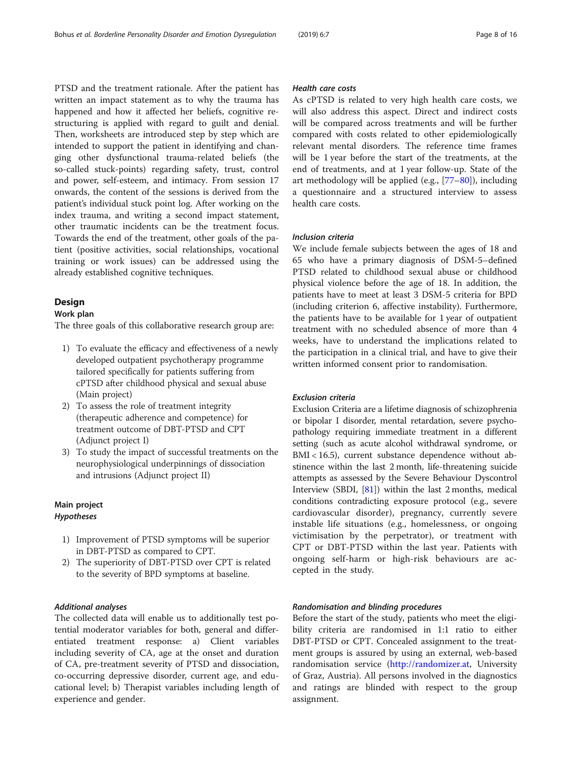PTSD and the treatment rationale. After the patient has written an impact statement as to why the trauma has happened and how it affected her beliefs, cognitive restructuring is applied with regard to guilt and denial. Then, worksheets are introduced step by step which are intended to support the patient in identifying and changing other dysfunctional trauma-related beliefs (the so-called stuck-points) regarding safety, trust, control and power, self-esteem, and intimacy. From session 17 onwards, the content of the sessions is derived from the patient's individual stuck point log. After working on the index trauma, and writing a second impact statement, other traumatic incidents can be the treatment focus. Towards the end of the treatment, other goals of the patient (positive activities, social relationships, vocational training or work issues) can be addressed using the already established cognitive techniques.

# Design

# Work plan

The three goals of this collaborative research group are:

- 1) To evaluate the efficacy and effectiveness of a newly developed outpatient psychotherapy programme tailored specifically for patients suffering from cPTSD after childhood physical and sexual abuse (Main project)
- 2) To assess the role of treatment integrity (therapeutic adherence and competence) for treatment outcome of DBT-PTSD and CPT (Adjunct project I)
- 3) To study the impact of successful treatments on the neurophysiological underpinnings of dissociation and intrusions (Adjunct project II)

# Main project Hypotheses

- 1) Improvement of PTSD symptoms will be superior in DBT-PTSD as compared to CPT.
- 2) The superiority of DBT-PTSD over CPT is related to the severity of BPD symptoms at baseline.

# Additional analyses

The collected data will enable us to additionally test potential moderator variables for both, general and differentiated treatment response: a) Client variables including severity of CA, age at the onset and duration of CA, pre-treatment severity of PTSD and dissociation, co-occurring depressive disorder, current age, and educational level; b) Therapist variables including length of experience and gender.

# Health care costs

As cPTSD is related to very high health care costs, we will also address this aspect. Direct and indirect costs will be compared across treatments and will be further compared with costs related to other epidemiologically relevant mental disorders. The reference time frames will be 1 year before the start of the treatments, at the end of treatments, and at 1 year follow-up. State of the art methodology will be applied (e.g., [\[77](#page-14-0)–[80\]](#page-14-0)), including a questionnaire and a structured interview to assess health care costs.

### Inclusion criteria

We include female subjects between the ages of 18 and 65 who have a primary diagnosis of DSM-5–defined PTSD related to childhood sexual abuse or childhood physical violence before the age of 18. In addition, the patients have to meet at least 3 DSM-5 criteria for BPD (including criterion 6, affective instability). Furthermore, the patients have to be available for 1 year of outpatient treatment with no scheduled absence of more than 4 weeks, have to understand the implications related to the participation in a clinical trial, and have to give their written informed consent prior to randomisation.

### Exclusion criteria

Exclusion Criteria are a lifetime diagnosis of schizophrenia or bipolar I disorder, mental retardation, severe psychopathology requiring immediate treatment in a different setting (such as acute alcohol withdrawal syndrome, or BMI < 16.5), current substance dependence without abstinence within the last 2 month, life-threatening suicide attempts as assessed by the Severe Behaviour Dyscontrol Interview (SBDI, [[81](#page-14-0)]) within the last 2 months, medical conditions contradicting exposure protocol (e.g., severe cardiovascular disorder), pregnancy, currently severe instable life situations (e.g., homelessness, or ongoing victimisation by the perpetrator), or treatment with CPT or DBT-PTSD within the last year. Patients with ongoing self-harm or high-risk behaviours are accepted in the study.

# Randomisation and blinding procedures

Before the start of the study, patients who meet the eligibility criteria are randomised in 1:1 ratio to either DBT-PTSD or CPT. Concealed assignment to the treatment groups is assured by using an external, web-based randomisation service [\(http://randomizer.at](http://randomizer.at), University of Graz, Austria). All persons involved in the diagnostics and ratings are blinded with respect to the group assignment.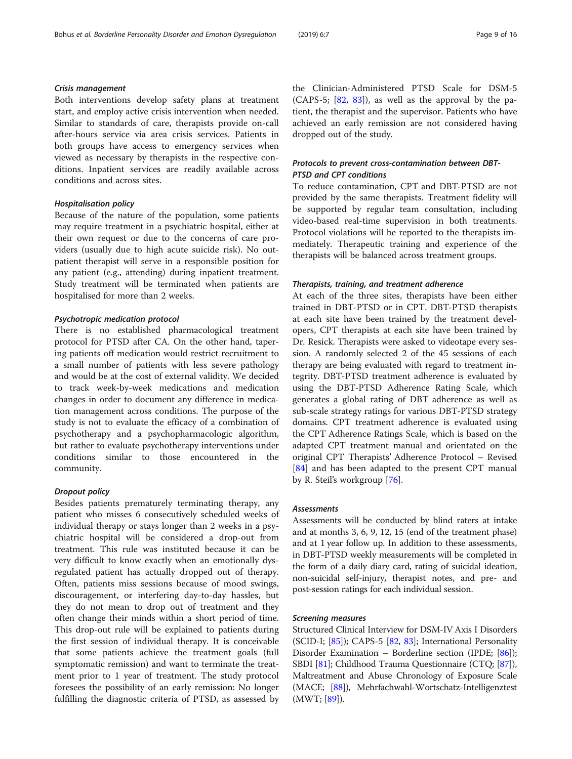# Crisis management

Both interventions develop safety plans at treatment start, and employ active crisis intervention when needed. Similar to standards of care, therapists provide on-call after-hours service via area crisis services. Patients in both groups have access to emergency services when viewed as necessary by therapists in the respective conditions. Inpatient services are readily available across conditions and across sites.

# Hospitalisation policy

Because of the nature of the population, some patients may require treatment in a psychiatric hospital, either at their own request or due to the concerns of care providers (usually due to high acute suicide risk). No outpatient therapist will serve in a responsible position for any patient (e.g., attending) during inpatient treatment. Study treatment will be terminated when patients are hospitalised for more than 2 weeks.

#### Psychotropic medication protocol

There is no established pharmacological treatment protocol for PTSD after CA. On the other hand, tapering patients off medication would restrict recruitment to a small number of patients with less severe pathology and would be at the cost of external validity. We decided to track week-by-week medications and medication changes in order to document any difference in medication management across conditions. The purpose of the study is not to evaluate the efficacy of a combination of psychotherapy and a psychopharmacologic algorithm, but rather to evaluate psychotherapy interventions under conditions similar to those encountered in the community.

#### Dropout policy

Besides patients prematurely terminating therapy, any patient who misses 6 consecutively scheduled weeks of individual therapy or stays longer than 2 weeks in a psychiatric hospital will be considered a drop-out from treatment. This rule was instituted because it can be very difficult to know exactly when an emotionally dysregulated patient has actually dropped out of therapy. Often, patients miss sessions because of mood swings, discouragement, or interfering day-to-day hassles, but they do not mean to drop out of treatment and they often change their minds within a short period of time. This drop-out rule will be explained to patients during the first session of individual therapy. It is conceivable that some patients achieve the treatment goals (full symptomatic remission) and want to terminate the treatment prior to 1 year of treatment. The study protocol foresees the possibility of an early remission: No longer fulfilling the diagnostic criteria of PTSD, as assessed by

the Clinician-Administered PTSD Scale for DSM-5 (CAPS-5; [[82,](#page-14-0) [83](#page-14-0)]), as well as the approval by the patient, the therapist and the supervisor. Patients who have achieved an early remission are not considered having dropped out of the study.

# Protocols to prevent cross-contamination between DBT-PTSD and CPT conditions

To reduce contamination, CPT and DBT-PTSD are not provided by the same therapists. Treatment fidelity will be supported by regular team consultation, including video-based real-time supervision in both treatments. Protocol violations will be reported to the therapists immediately. Therapeutic training and experience of the therapists will be balanced across treatment groups.

#### Therapists, training, and treatment adherence

At each of the three sites, therapists have been either trained in DBT-PTSD or in CPT. DBT-PTSD therapists at each site have been trained by the treatment developers, CPT therapists at each site have been trained by Dr. Resick. Therapists were asked to videotape every session. A randomly selected 2 of the 45 sessions of each therapy are being evaluated with regard to treatment integrity. DBT-PTSD treatment adherence is evaluated by using the DBT-PTSD Adherence Rating Scale, which generates a global rating of DBT adherence as well as sub-scale strategy ratings for various DBT-PTSD strategy domains. CPT treatment adherence is evaluated using the CPT Adherence Ratings Scale, which is based on the adapted CPT treatment manual and orientated on the original CPT Therapists' Adherence Protocol – Revised [[84\]](#page-14-0) and has been adapted to the present CPT manual by R. Steil's workgroup [[76\]](#page-14-0).

#### Assessments

Assessments will be conducted by blind raters at intake and at months 3, 6, 9, 12, 15 (end of the treatment phase) and at 1 year follow up. In addition to these assessments, in DBT-PTSD weekly measurements will be completed in the form of a daily diary card, rating of suicidal ideation, non-suicidal self-injury, therapist notes, and pre- and post-session ratings for each individual session.

#### Screening measures

Structured Clinical Interview for DSM-IV Axis I Disorders (SCID-I;  $[85]$  $[85]$ ); CAPS-5  $[82, 83]$  $[82, 83]$  $[82, 83]$  $[82, 83]$  $[82, 83]$ ; International Personality Disorder Examination – Borderline section (IPDE; [[86](#page-14-0)]); SBDI [[81](#page-14-0)]; Childhood Trauma Questionnaire (CTQ; [[87](#page-14-0)]), Maltreatment and Abuse Chronology of Exposure Scale (MACE; [\[88\]](#page-14-0)), Mehrfachwahl-Wortschatz-Intelligenztest  $(MWT; [89])$  $(MWT; [89])$  $(MWT; [89])$ .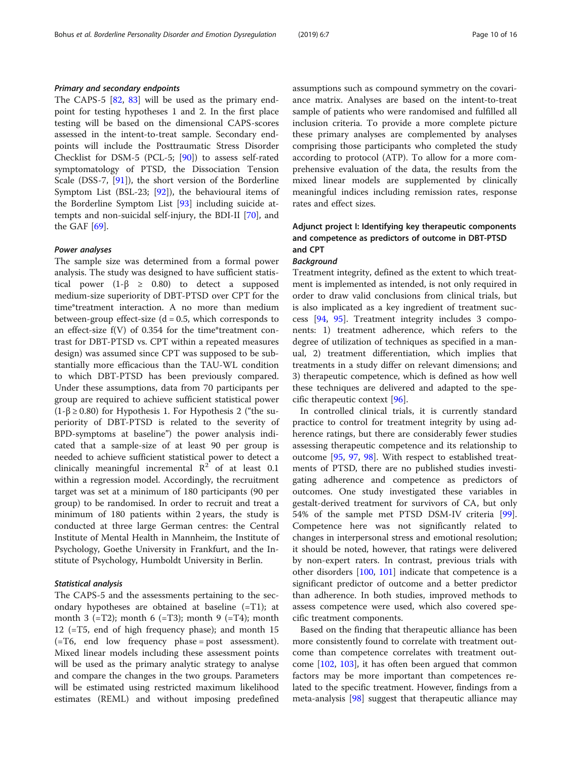# Primary and secondary endpoints

The CAPS-5 [[82](#page-14-0), [83](#page-14-0)] will be used as the primary endpoint for testing hypotheses 1 and 2. In the first place testing will be based on the dimensional CAPS-scores assessed in the intent-to-treat sample. Secondary endpoints will include the Posttraumatic Stress Disorder Checklist for DSM-5 (PCL-5; [[90\]](#page-14-0)) to assess self-rated symptomatology of PTSD, the Dissociation Tension Scale (DSS-7, [\[91](#page-14-0)]), the short version of the Borderline Symptom List (BSL-23; [\[92](#page-14-0)]), the behavioural items of the Borderline Symptom List [\[93](#page-14-0)] including suicide attempts and non-suicidal self-injury, the BDI-II [[70\]](#page-14-0), and the GAF  $[69]$  $[69]$ .

#### Power analyses

The sample size was determined from a formal power analysis. The study was designed to have sufficient statistical power  $(1-\beta \geq 0.80)$  to detect a supposed medium-size superiority of DBT-PTSD over CPT for the time\*treatment interaction. A no more than medium between-group effect-size  $(d = 0.5,$  which corresponds to an effect-size  $f(V)$  of 0.354 for the time\*treatment contrast for DBT-PTSD vs. CPT within a repeated measures design) was assumed since CPT was supposed to be substantially more efficacious than the TAU-WL condition to which DBT-PTSD has been previously compared. Under these assumptions, data from 70 participants per group are required to achieve sufficient statistical power (1- $\beta \ge 0.80$ ) for Hypothesis 1. For Hypothesis 2 ("the superiority of DBT-PTSD is related to the severity of BPD-symptoms at baseline") the power analysis indicated that a sample-size of at least 90 per group is needed to achieve sufficient statistical power to detect a clinically meaningful incremental  $\mathbb{R}^2$  of at least 0.1 within a regression model. Accordingly, the recruitment target was set at a minimum of 180 participants (90 per group) to be randomised. In order to recruit and treat a minimum of 180 patients within 2 years, the study is conducted at three large German centres: the Central Institute of Mental Health in Mannheim, the Institute of Psychology, Goethe University in Frankfurt, and the Institute of Psychology, Humboldt University in Berlin.

#### Statistical analysis

The CAPS-5 and the assessments pertaining to the secondary hypotheses are obtained at baseline (=T1); at month 3 (=T2); month 6 (=T3); month 9 (=T4); month 12 (=T5, end of high frequency phase); and month 15 (=T6, end low frequency phase = post assessment). Mixed linear models including these assessment points will be used as the primary analytic strategy to analyse and compare the changes in the two groups. Parameters will be estimated using restricted maximum likelihood estimates (REML) and without imposing predefined assumptions such as compound symmetry on the covariance matrix. Analyses are based on the intent-to-treat sample of patients who were randomised and fulfilled all inclusion criteria. To provide a more complete picture these primary analyses are complemented by analyses comprising those participants who completed the study according to protocol (ATP). To allow for a more comprehensive evaluation of the data, the results from the mixed linear models are supplemented by clinically meaningful indices including remission rates, response rates and effect sizes.

# Adjunct project I: Identifying key therapeutic components and competence as predictors of outcome in DBT-PTSD and CPT

# **Background**

Treatment integrity, defined as the extent to which treatment is implemented as intended, is not only required in order to draw valid conclusions from clinical trials, but is also implicated as a key ingredient of treatment success [[94,](#page-14-0) [95](#page-14-0)]. Treatment integrity includes 3 components: 1) treatment adherence, which refers to the degree of utilization of techniques as specified in a manual, 2) treatment differentiation, which implies that treatments in a study differ on relevant dimensions; and 3) therapeutic competence, which is defined as how well these techniques are delivered and adapted to the specific therapeutic context [\[96\]](#page-14-0).

In controlled clinical trials, it is currently standard practice to control for treatment integrity by using adherence ratings, but there are considerably fewer studies assessing therapeutic competence and its relationship to outcome [\[95](#page-14-0), [97](#page-14-0), [98\]](#page-14-0). With respect to established treatments of PTSD, there are no published studies investigating adherence and competence as predictors of outcomes. One study investigated these variables in gestalt-derived treatment for survivors of CA, but only 54% of the sample met PTSD DSM-IV criteria [\[99](#page-14-0)]. Competence here was not significantly related to changes in interpersonal stress and emotional resolution; it should be noted, however, that ratings were delivered by non-expert raters. In contrast, previous trials with other disorders [\[100,](#page-14-0) [101](#page-14-0)] indicate that competence is a significant predictor of outcome and a better predictor than adherence. In both studies, improved methods to assess competence were used, which also covered specific treatment components.

Based on the finding that therapeutic alliance has been more consistently found to correlate with treatment outcome than competence correlates with treatment outcome [[102](#page-15-0), [103\]](#page-15-0), it has often been argued that common factors may be more important than competences related to the specific treatment. However, findings from a meta-analysis [[98\]](#page-14-0) suggest that therapeutic alliance may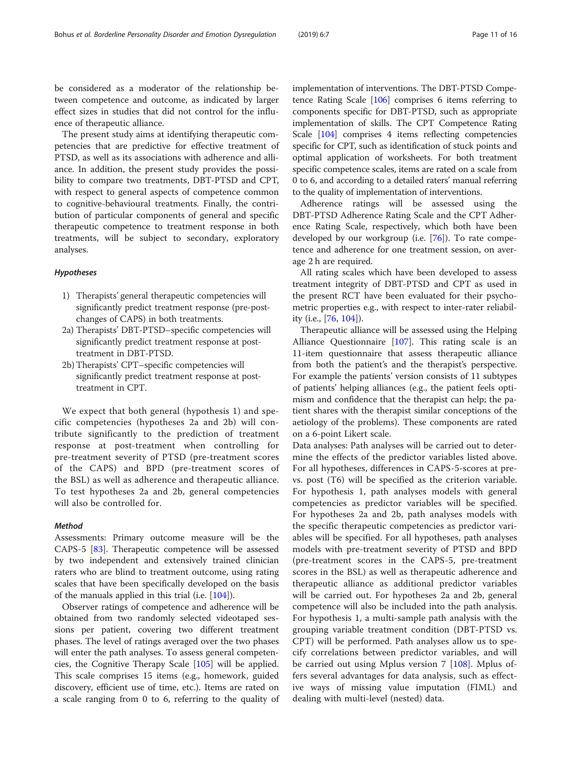be considered as a moderator of the relationship between competence and outcome, as indicated by larger effect sizes in studies that did not control for the influence of therapeutic alliance.

The present study aims at identifying therapeutic competencies that are predictive for effective treatment of PTSD, as well as its associations with adherence and alliance. In addition, the present study provides the possibility to compare two treatments, DBT-PTSD and CPT, with respect to general aspects of competence common to cognitive-behavioural treatments. Finally, the contribution of particular components of general and specific therapeutic competence to treatment response in both treatments, will be subject to secondary, exploratory analyses.

### Hypotheses

- 1) Therapists' general therapeutic competencies will significantly predict treatment response (pre-postchanges of CAPS) in both treatments.
- 2a) Therapists' DBT-PTSD–specific competencies will significantly predict treatment response at posttreatment in DBT-PTSD.
- 2b) Therapists' CPT–specific competencies will significantly predict treatment response at posttreatment in CPT.

We expect that both general (hypothesis 1) and specific competencies (hypotheses 2a and 2b) will contribute significantly to the prediction of treatment response at post-treatment when controlling for pre-treatment severity of PTSD (pre-treatment scores of the CAPS) and BPD (pre-treatment scores of the BSL) as well as adherence and therapeutic alliance. To test hypotheses 2a and 2b, general competencies will also be controlled for.

#### Method

Assessments: Primary outcome measure will be the CAPS-5 [\[83](#page-14-0)]. Therapeutic competence will be assessed by two independent and extensively trained clinician raters who are blind to treatment outcome, using rating scales that have been specifically developed on the basis of the manuals applied in this trial (i.e. [\[104](#page-15-0)]).

Observer ratings of competence and adherence will be obtained from two randomly selected videotaped sessions per patient, covering two different treatment phases. The level of ratings averaged over the two phases will enter the path analyses. To assess general competencies, the Cognitive Therapy Scale [\[105](#page-15-0)] will be applied. This scale comprises 15 items (e.g., homework, guided discovery, efficient use of time, etc.). Items are rated on a scale ranging from 0 to 6, referring to the quality of

implementation of interventions. The DBT-PTSD Competence Rating Scale [[106](#page-15-0)] comprises 6 items referring to components specific for DBT-PTSD, such as appropriate implementation of skills. The CPT Competence Rating Scale [\[104](#page-15-0)] comprises 4 items reflecting competencies specific for CPT, such as identification of stuck points and optimal application of worksheets. For both treatment specific competence scales, items are rated on a scale from 0 to 6, and according to a detailed raters' manual referring to the quality of implementation of interventions.

Adherence ratings will be assessed using the DBT-PTSD Adherence Rating Scale and the CPT Adherence Rating Scale, respectively, which both have been developed by our workgroup (i.e.  $[76]$  $[76]$  $[76]$ ). To rate competence and adherence for one treatment session, on average 2 h are required.

All rating scales which have been developed to assess treatment integrity of DBT-PTSD and CPT as used in the present RCT have been evaluated for their psychometric properties e.g., with respect to inter-rater reliability (i.e., [\[76](#page-14-0), [104](#page-15-0)]).

Therapeutic alliance will be assessed using the Helping Alliance Questionnaire [[107\]](#page-15-0). This rating scale is an 11-item questionnaire that assess therapeutic alliance from both the patient's and the therapist's perspective. For example the patients' version consists of 11 subtypes of patients' helping alliances (e.g., the patient feels optimism and confidence that the therapist can help; the patient shares with the therapist similar conceptions of the aetiology of the problems). These components are rated on a 6-point Likert scale.

Data analyses: Path analyses will be carried out to determine the effects of the predictor variables listed above. For all hypotheses, differences in CAPS-5-scores at prevs. post (T6) will be specified as the criterion variable. For hypothesis 1, path analyses models with general competencies as predictor variables will be specified. For hypotheses 2a and 2b, path analyses models with the specific therapeutic competencies as predictor variables will be specified. For all hypotheses, path analyses models with pre-treatment severity of PTSD and BPD (pre-treatment scores in the CAPS-5, pre-treatment scores in the BSL) as well as therapeutic adherence and therapeutic alliance as additional predictor variables will be carried out. For hypotheses 2a and 2b, general competence will also be included into the path analysis. For hypothesis 1, a multi-sample path analysis with the grouping variable treatment condition (DBT-PTSD vs. CPT) will be performed. Path analyses allow us to specify correlations between predictor variables, and will be carried out using Mplus version 7 [[108](#page-15-0)]. Mplus offers several advantages for data analysis, such as effective ways of missing value imputation (FIML) and dealing with multi-level (nested) data.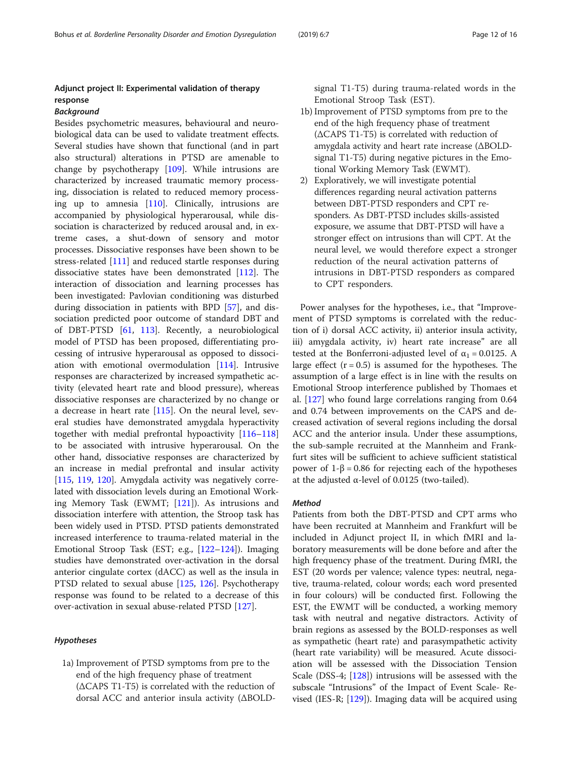# Adjunct project II: Experimental validation of therapy response

#### Background

Besides psychometric measures, behavioural and neurobiological data can be used to validate treatment effects. Several studies have shown that functional (and in part also structural) alterations in PTSD are amenable to change by psychotherapy [[109](#page-15-0)]. While intrusions are characterized by increased traumatic memory processing, dissociation is related to reduced memory processing up to amnesia [\[110](#page-15-0)]. Clinically, intrusions are accompanied by physiological hyperarousal, while dissociation is characterized by reduced arousal and, in extreme cases, a shut-down of sensory and motor processes. Dissociative responses have been shown to be stress-related [\[111\]](#page-15-0) and reduced startle responses during dissociative states have been demonstrated [\[112\]](#page-15-0). The interaction of dissociation and learning processes has been investigated: Pavlovian conditioning was disturbed during dissociation in patients with BPD [[57\]](#page-14-0), and dissociation predicted poor outcome of standard DBT and of DBT-PTSD [[61,](#page-14-0) [113](#page-15-0)]. Recently, a neurobiological model of PTSD has been proposed, differentiating processing of intrusive hyperarousal as opposed to dissociation with emotional overmodulation [\[114](#page-15-0)]. Intrusive responses are characterized by increased sympathetic activity (elevated heart rate and blood pressure), whereas dissociative responses are characterized by no change or a decrease in heart rate [[115](#page-15-0)]. On the neural level, several studies have demonstrated amygdala hyperactivity together with medial prefrontal hypoactivity [[116](#page-15-0)–[118](#page-15-0)] to be associated with intrusive hyperarousal. On the other hand, dissociative responses are characterized by an increase in medial prefrontal and insular activity [[115,](#page-15-0) [119](#page-15-0), [120\]](#page-15-0). Amygdala activity was negatively correlated with dissociation levels during an Emotional Working Memory Task (EWMT; [\[121](#page-15-0)]). As intrusions and dissociation interfere with attention, the Stroop task has been widely used in PTSD. PTSD patients demonstrated increased interference to trauma-related material in the Emotional Stroop Task (EST; e.g., [[122](#page-15-0)–[124](#page-15-0)]). Imaging studies have demonstrated over-activation in the dorsal anterior cingulate cortex (dACC) as well as the insula in PTSD related to sexual abuse [\[125,](#page-15-0) [126\]](#page-15-0). Psychotherapy response was found to be related to a decrease of this over-activation in sexual abuse-related PTSD [\[127\]](#page-15-0).

### Hypotheses

1a) Improvement of PTSD symptoms from pre to the end of the high frequency phase of treatment (ΔCAPS T1-T5) is correlated with the reduction of dorsal ACC and anterior insula activity (ΔBOLD-

signal T1-T5) during trauma-related words in the Emotional Stroop Task (EST).

- 1b) Improvement of PTSD symptoms from pre to the end of the high frequency phase of treatment (ΔCAPS T1-T5) is correlated with reduction of amygdala activity and heart rate increase (ΔBOLDsignal T1-T5) during negative pictures in the Emotional Working Memory Task (EWMT).
- 2) Exploratively, we will investigate potential differences regarding neural activation patterns between DBT-PTSD responders and CPT responders. As DBT-PTSD includes skills-assisted exposure, we assume that DBT-PTSD will have a stronger effect on intrusions than will CPT. At the neural level, we would therefore expect a stronger reduction of the neural activation patterns of intrusions in DBT-PTSD responders as compared to CPT responders.

Power analyses for the hypotheses, i.e., that "Improvement of PTSD symptoms is correlated with the reduction of i) dorsal ACC activity, ii) anterior insula activity, iii) amygdala activity, iv) heart rate increase" are all tested at the Bonferroni-adjusted level of  $\alpha_1 = 0.0125$ . A large effect  $(r = 0.5)$  is assumed for the hypotheses. The assumption of a large effect is in line with the results on Emotional Stroop interference published by Thomaes et al. [\[127](#page-15-0)] who found large correlations ranging from 0.64 and 0.74 between improvements on the CAPS and decreased activation of several regions including the dorsal ACC and the anterior insula. Under these assumptions, the sub-sample recruited at the Mannheim and Frankfurt sites will be sufficient to achieve sufficient statistical power of 1-β = 0.86 for rejecting each of the hypotheses at the adjusted α-level of 0.0125 (two-tailed).

#### Method

Patients from both the DBT-PTSD and CPT arms who have been recruited at Mannheim and Frankfurt will be included in Adjunct project II, in which fMRI and laboratory measurements will be done before and after the high frequency phase of the treatment. During fMRI, the EST (20 words per valence; valence types: neutral, negative, trauma-related, colour words; each word presented in four colours) will be conducted first. Following the EST, the EWMT will be conducted, a working memory task with neutral and negative distractors. Activity of brain regions as assessed by the BOLD-responses as well as sympathetic (heart rate) and parasympathetic activity (heart rate variability) will be measured. Acute dissociation will be assessed with the Dissociation Tension Scale (DSS-4; [\[128\]](#page-15-0)) intrusions will be assessed with the subscale "Intrusions" of the Impact of Event Scale- Revised (IES-R; [\[129\]](#page-15-0)). Imaging data will be acquired using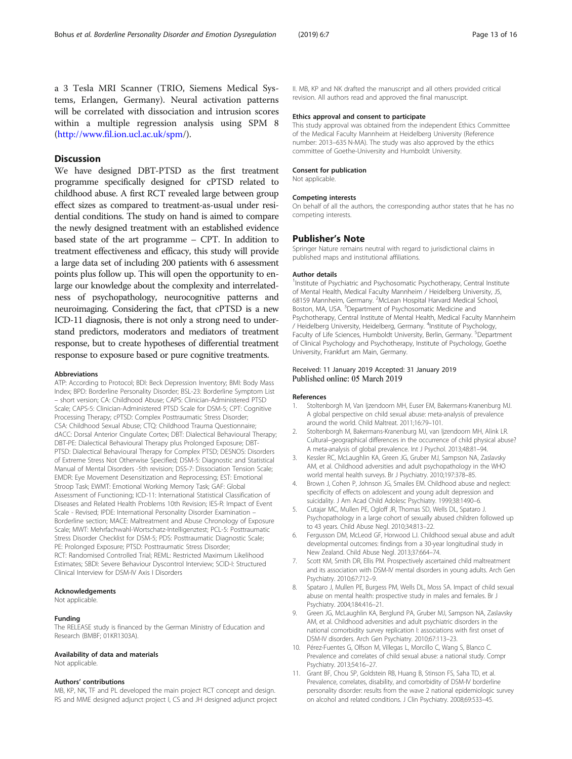<span id="page-12-0"></span>a 3 Tesla MRI Scanner (TRIO, Siemens Medical Systems, Erlangen, Germany). Neural activation patterns will be correlated with dissociation and intrusion scores within a multiple regression analysis using SPM 8 (<http://www.fil.ion.ucl.ac.uk/spm>/).

# **Discussion**

We have designed DBT-PTSD as the first treatment programme specifically designed for cPTSD related to childhood abuse. A first RCT revealed large between group effect sizes as compared to treatment-as-usual under residential conditions. The study on hand is aimed to compare the newly designed treatment with an established evidence based state of the art programme – CPT. In addition to treatment effectiveness and efficacy, this study will provide a large data set of including 200 patients with 6 assessment points plus follow up. This will open the opportunity to enlarge our knowledge about the complexity and interrelatedness of psychopathology, neurocognitive patterns and neuroimaging. Considering the fact, that cPTSD is a new ICD-11 diagnosis, there is not only a strong need to understand predictors, moderators and mediators of treatment response, but to create hypotheses of differential treatment response to exposure based or pure cognitive treatments.

#### Abbreviations

ATP: According to Protocol; BDI: Beck Depression Inventory; BMI: Body Mass Index; BPD: Borderline Personality Disorder; BSL-23: Borderline Symptom List – short version; CA: Childhood Abuse; CAPS: Clinician-Administered PTSD Scale; CAPS-5: Clinician-Administered PTSD Scale for DSM-5; CPT: Cognitive Processing Therapy; cPTSD: Complex Posttraumatic Stress Disorder; CSA: Childhood Sexual Abuse; CTQ: Childhood Trauma Questionnaire; dACC: Dorsal Anterior Cingulate Cortex; DBT: Dialectical Behavioural Therapy; DBT-PE: Dialectical Behavioural Therapy plus Prolonged Exposure; DBT-PTSD: Dialectical Behavioural Therapy for Complex PTSD; DESNOS: Disorders of Extreme Stress Not Otherwise Specified; DSM-5: Diagnostic and Statistical Manual of Mental Disorders -5th revision; DSS-7: Dissociation Tension Scale; EMDR: Eye Movement Desensitization and Reprocessing; EST: Emotional Stroop Task; EWMT: Emotional Working Memory Task; GAF: Global Assessment of Functioning; ICD-11: International Statistical Classification of Diseases and Related Health Problems 10th Revision; IES-R: Impact of Event Scale - Revised; IPDE: International Personality Disorder Examination – Borderline section; MACE: Maltreatment and Abuse Chronology of Exposure Scale; MWT: Mehrfachwahl-Wortschatz-Intelligenztest; PCL-5: Posttraumatic Stress Disorder Checklist for DSM-5; PDS: Posttraumatic Diagnostic Scale; PE: Prolonged Exposure; PTSD: Posttraumatic Stress Disorder; RCT: Randomised Controlled Trial; REML: Restricted Maximum Likelihood Estimates; SBDI: Severe Behaviour Dyscontrol Interview; SCID-I: Structured Clinical Interview for DSM-IV Axis I Disorders

#### Acknowledgements

Not applicable.

#### Funding

The RELEASE study is financed by the German Ministry of Education and Research (BMBF; 01KR1303A).

#### Availability of data and materials

Not applicable.

#### Authors' contributions

MB, KP, NK, TF and PL developed the main project RCT concept and design. RS and MME designed adjunct project I, CS and JH designed adjunct project II. MB, KP and NK drafted the manuscript and all others provided critical revision. All authors read and approved the final manuscript.

#### Ethics approval and consent to participate

This study approval was obtained from the independent Ethics Committee of the Medical Faculty Mannheim at Heidelberg University (Reference number: 2013–635 N-MA). The study was also approved by the ethics committee of Goethe-University and Humboldt University.

#### Consent for publication

Not applicable.

#### Competing interests

On behalf of all the authors, the corresponding author states that he has no competing interests.

#### Publisher's Note

Springer Nature remains neutral with regard to jurisdictional claims in published maps and institutional affiliations.

#### Author details

<sup>1</sup>Institute of Psychiatric and Psychosomatic Psychotherapy, Central Institute of Mental Health, Medical Faculty Mannheim / Heidelberg University, J5, 68159 Mannheim, Germany. <sup>2</sup> McLean Hospital Harvard Medical School, Boston, MA, USA. <sup>3</sup>Department of Psychosomatic Medicine and Psychotherapy, Central Institute of Mental Health, Medical Faculty Mannheim / Heidelberg University, Heidelberg, Germany. <sup>4</sup>Institute of Psychology Faculty of Life Sciences, Humboldt University, Berlin, Germany. <sup>5</sup>Department of Clinical Psychology and Psychotherapy, Institute of Psychology, Goethe University, Frankfurt am Main, Germany.

#### Received: 11 January 2019 Accepted: 31 January 2019 Published online: 05 March 2019

#### References

- 1. Stoltenborgh M, Van Ijzendoorn MH, Euser EM, Bakermans-Kranenburg MJ. A global perspective on child sexual abuse: meta-analysis of prevalence around the world. Child Maltreat. 2011;16:79–101.
- 2. Stoltenborgh M, Bakermans-Kranenburg MJ, van Ijzendoorn MH, Alink LR. Cultural–geographical differences in the occurrence of child physical abuse? A meta-analysis of global prevalence. Int J Psychol. 2013;48:81–94.
- 3. Kessler RC, McLaughlin KA, Green JG, Gruber MJ, Sampson NA, Zaslavsky AM, et al. Childhood adversities and adult psychopathology in the WHO world mental health surveys. Br J Psychiatry. 2010;197:378–85.
- 4. Brown J, Cohen P, Johnson JG, Smailes EM. Childhood abuse and neglect: specificity of effects on adolescent and young adult depression and suicidality. J Am Acad Child Adolesc Psychiatry. 1999;38:1490–6.
- 5. Cutajar MC, Mullen PE, Ogloff JR, Thomas SD, Wells DL, Spataro J. Psychopathology in a large cohort of sexually abused children followed up to 43 years. Child Abuse Negl. 2010;34:813–22.
- Fergusson DM, McLeod GF, Horwood LJ. Childhood sexual abuse and adult developmental outcomes: findings from a 30-year longitudinal study in New Zealand. Child Abuse Negl. 2013;37:664–74.
- 7. Scott KM, Smith DR, Ellis PM. Prospectively ascertained child maltreatment and its association with DSM-IV mental disorders in young adults. Arch Gen Psychiatry. 2010;67:712–9.
- 8. Spataro J, Mullen PE, Burgess PM, Wells DL, Moss SA. Impact of child sexual abuse on mental health: prospective study in males and females. Br J Psychiatry. 2004;184:416–21.
- 9. Green JG, McLaughlin KA, Berglund PA, Gruber MJ, Sampson NA, Zaslavsky AM, et al. Childhood adversities and adult psychiatric disorders in the national comorbidity survey replication I: associations with first onset of DSM-IV disorders. Arch Gen Psychiatry. 2010;67:113–23.
- 10. Pérez-Fuentes G, Olfson M, Villegas L, Morcillo C, Wang S, Blanco C. Prevalence and correlates of child sexual abuse: a national study. Compr Psychiatry. 2013;54:16–27.
- 11. Grant BF, Chou SP, Goldstein RB, Huang B, Stinson FS, Saha TD, et al. Prevalence, correlates, disability, and comorbidity of DSM-IV borderline personality disorder: results from the wave 2 national epidemiologic survey on alcohol and related conditions. J Clin Psychiatry. 2008;69:533–45.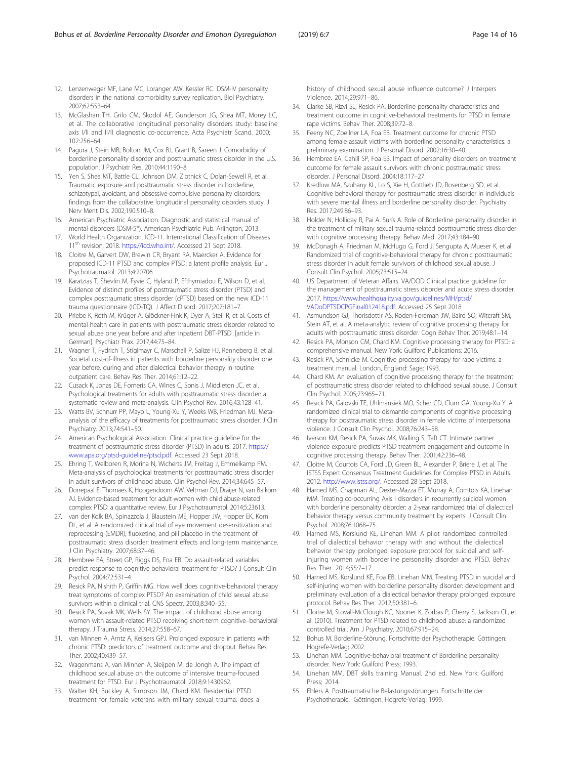- <span id="page-13-0"></span>12. Lenzenweger MF, Lane MC, Loranger AW, Kessler RC. DSM-IV personality disorders in the national comorbidity survey replication. Biol Psychiatry. 2007;62:553–64.
- 13. McGlashan TH, Grilo CM, Skodol AE, Gunderson JG, Shea MT, Morey LC, et al. The collaborative longitudinal personality disorders study: baseline axis I/II and II/II diagnostic co-occurrence. Acta Psychiatr Scand. 2000; 102:256–64.
- 14. Pagura J, Stein MB, Bolton JM, Cox BJ, Grant B, Sareen J. Comorbidity of borderline personality disorder and posttraumatic stress disorder in the U.S. population. J Psychiatr Res. 2010;44:1190–8.
- 15. Yen S, Shea MT, Battle CL, Johnson DM, Zlotnick C, Dolan-Sewell R, et al. Traumatic exposure and posttraumatic stress disorder in borderline, schizotypal, avoidant, and obsessive-compulsive personality disorders: findings from the collaborative longitudinal personality disorders study. J Nerv Ment Dis. 2002;190:510–8.
- 16. American Psychiatric Association. Diagnostic and statistical manual of mental disorders (DSM-5®). American Psychiatric Pub. Arlington; 2013.
- 17. World Health Organization. ICD-11. International Classification of Diseases 11<sup>th</sup> revision. 2018. [https://icd.who.int/](https://icd.who.int). Accessed 21 Sept 2018.
- 18. Cloitre M, Garvert DW, Brewin CR, Bryant RA, Maercker A. Evidence for proposed ICD-11 PTSD and complex PTSD: a latent profile analysis. Eur J Psychotraumatol. 2013;4:20706.
- 19. Karatzias T, Shevlin M, Fyvie C, Hyland P, Efthymiadou E, Wilson D, et al. Evidence of distinct profiles of posttraumatic stress disorder (PTSD) and complex posttraumatic stress disorder (cPTSD) based on the new ICD-11 trauma questionnaire (ICD-TQ). J Affect Disord. 2017;207:181–7.
- 20. Priebe K, Roth M, Krüger A, Glöckner-Fink K, Dyer A, Steil R, et al. Costs of mental health care in patients with posttraumatic stress disorder related to sexual abuse one year before and after inpatient DBT-PTSD. [article in German]. Psychiatr Prax. 2017;44:75–84.
- 21. Wagner T, Fydrich T, Stiglmayr C, Marschall P, Salize HJ, Renneberg B, et al. Societal cost-of-illness in patients with borderline personality disorder one year before, during and after dialectical behavior therapy in routine outpatient care. Behav Res Ther. 2014;61:12–22.
- 22. Cusack K, Jonas DE, Forneris CA, Wines C, Sonis J, Middleton JC, et al. Psychological treatments for adults with posttraumatic stress disorder: a systematic review and meta-analysis. Clin Psychol Rev. 2016;43:128–41.
- 23. Watts BV, Schnurr PP, Mayo L, Young-Xu Y, Weeks WB, Friedman MJ. Metaanalysis of the efficacy of treatments for posttraumatic stress disorder. J Clin Psychiatry. 2013;74:541–50.
- 24. American Psychological Association. Clinical practice guideline for the treatment of posttraumatic stress disorder (PTSD) in adults. 2017. [https://](https://www.apa.org/ptsd-guideline/ptsd.pdf) [www.apa.org/ptsd-guideline/ptsd.pdf.](https://www.apa.org/ptsd-guideline/ptsd.pdf) Accessed 23 Sept 2018.
- 25. Ehring T, Welboren R, Morina N, Wicherts JM, Freitag J, Emmelkamp PM. Meta-analysis of psychological treatments for posttraumatic stress disorder in adult survivors of childhood abuse. Clin Psychol Rev. 2014;34:645–57.
- 26. Dorrepaal E, Thomaes K, Hoogendoorn AW, Veltman DJ, Draijer N, van Balkom AJ. Evidence-based treatment for adult women with child abuse-related complex PTSD: a quantitative review. Eur J Psychotraumatol. 2014;5:23613.
- 27. van der Kolk BA, Spinazzola J, Blaustein ME, Hopper JW, Hopper EK, Korn DL, et al. A randomized clinical trial of eye movement desensitization and reprocessing (EMDR), fluoxetine, and pill placebo in the treatment of posttraumatic stress disorder: treatment effects and long-term maintenance. J Clin Psychiatry. 2007;68:37–46.
- 28. Hembree EA, Street GP, Riggs DS, Foa EB. Do assault-related variables predict response to cognitive behavioral treatment for PTSD? J Consult Clin Psychol. 2004;72:531–4.
- 29. Resick PA, Nishith P, Griffin MG. How well does cognitive-behavioral therapy treat symptoms of complex PTSD? An examination of child sexual abuse survivors within a clinical trial. CNS Spectr. 2003;8:340–55.
- 30. Resick PA, Suvak MK, Wells SY. The impact of childhood abuse among women with assault-related PTSD receiving short-term cognitive–behavioral therapy. J Trauma Stress. 2014;27:558–67.
- 31. van Minnen A, Arntz A, Keijsers GPJ. Prolonged exposure in patients with chronic PTSD: predictors of treatment outcome and dropout. Behav Res Ther. 2002;40:439–57.
- 32. Wagenmans A, van Minnen A, Sleijpen M, de Jongh A. The impact of childhood sexual abuse on the outcome of intensive trauma-focused treatment for PTSD. Eur J Psychotraumatol. 2018;9:1430962.
- 33. Walter KH, Buckley A, Simpson JM, Chard KM. Residential PTSD treatment for female veterans with military sexual trauma: does a

history of childhood sexual abuse influence outcome? J Interpers Violence. 2014;29:971–86.

- 34. Clarke SB, Rizvi SL, Resick PA. Borderline personality characteristics and treatment outcome in cognitive-behavioral treatments for PTSD in female rape victims. Behav Ther. 2008;39:72–8.
- 35. Feeny NC, Zoellner LA, Foa EB. Treatment outcome for chronic PTSD among female assault victims with borderline personality characteristics: a preliminary examination. J Personal Disord. 2002;16:30–40.
- 36. Hembree EA, Cahill SP, Foa EB. Impact of personality disorders on treatment outcome for female assault survivors with chronic posttraumatic stress disorder. J Personal Disord. 2004;18:117–27.
- 37. Kredlow MA, Szuhany KL, Lo S, Xie H, Gottlieb JD, Rosenberg SD, et al. Cognitive behavioral therapy for posttraumatic stress disorder in individuals with severe mental illness and borderline personality disorder. Psychiatry Res. 2017;249:86–93.
- 38. Holder N, Holliday R, Pai A, Surís A. Role of Borderline personality disorder in the treatment of military sexual trauma-related posttraumatic stress disorder with cognitive processing therapy. Behav Med. 2017;43:184–90.
- 39. McDonagh A, Friedman M, McHugo G, Ford J, Sengupta A, Mueser K, et al. Randomized trial of cognitive-behavioral therapy for chronic posttraumatic stress disorder in adult female survivors of childhood sexual abuse. J Consult Clin Psychol. 2005;73:515–24.
- 40. US Department of Veteran Affairs. VA/DOD Clinical practice guideline for the management of posttraumatic stress disorder and acute stress disorder. 2017. [https://www.healthquality.va.gov/guidelines/MH/ptsd/](https://www.healthquality.va.gov/guidelines/MH/ptsd/VADoDPTSDCPGFinal012418.pdf) [VADoDPTSDCPGFinal012418.pdf](https://www.healthquality.va.gov/guidelines/MH/ptsd/VADoDPTSDCPGFinal012418.pdf). Accessed 25 Sept 2018.
- 41. Asmundson GJ, Thorisdottir AS, Roden-Foreman JW, Baird SO, Witcraft SM, Stein AT, et al. A meta-analytic review of cognitive processing therapy for adults with posttraumatic stress disorder. Cogn Behav Ther. 2019;48:1–14.
- 42. Resick PA, Monson CM, Chard KM. Cognitive processing therapy for PTSD: a comprehensive manual. New York: Guilford Publications; 2016.
- 43. Resick PA, Schnicke M. Cognitive processing therapy for rape victims: a treatment manual. London, England: Sage; 1993.
- 44. Chard KM. An evaluation of cognitive processing therapy for the treatment of posttraumatic stress disorder related to childhood sexual abuse. J Consult Clin Psychol. 2005;73:965–71.
- 45. Resick PA, Galovski TE, Uhlmansiek MO, Scher CD, Clum GA, Young-Xu Y. A randomized clinical trial to dismantle components of cognitive processing therapy for posttraumatic stress disorder in female victims of interpersonal violence. J Consult Clin Psychol. 2008;76:243–58.
- 46. Iverson KM, Resick PA, Suvak MK, Walling S, Taft CT. Intimate partner violence exposure predicts PTSD treatment engagement and outcome in cognitive processing therapy. Behav Ther. 2001;42:236–48.
- 47. Cloitre M, Courtois CA, Ford JD, Green BL, Alexander P, Briere J, et al. The ISTSS Expert Consensus Treatment Guidelines for Complex PTSD in Adults. 2012. <http://www.istss.org/>. Accessed 28 Sept 2018.
- 48. Harned MS, Chapman AL, Dexter-Mazza ET, Murray A, Comtois KA, Linehan MM. Treating co-occurring Axis I disorders in recurrently suicidal women with borderline personality disorder: a 2-year randomized trial of dialectical behavior therapy versus community treatment by experts. J Consult Clin Psychol. 2008;76:1068–75.
- 49. Harned MS, Korslund KE, Linehan MM. A pilot randomized controlled trial of dialectical behavior therapy with and without the dialectical behavior therapy prolonged exposure protocol for suicidal and selfinjuring women with borderline personality disorder and PTSD. Behav Res Ther. 2014;55:7–17.
- 50. Harned MS, Korslund KE, Foa EB, Linehan MM. Treating PTSD in suicidal and self-injuring women with borderline personality disorder: development and preliminary evaluation of a dialectical behavior therapy prolonged exposure protocol. Behav Res Ther. 2012;50:381–6.
- 51. Cloitre M, Stovall-McClough KC, Nooner K, Zorbas P, Cherry S, Jackson CL, et al. (2010). Treatment for PTSD related to childhood abuse: a randomized controlled trial. Am J Psychiatry. 2010;67:915–24.
- 52. Bohus M. Borderline-Störung. Fortschritte der Psychotherapie. Göttingen: Hogrefe-Verlag; 2002.
- 53. Linehan MM. Cognitive-behavioral treatment of Borderline personality disorder. New York: Guilford Press; 1993.
- 54. Linehan MM. DBT skills training Manual. 2nd ed. New York: Guilford Press; 2014.
- 55. Ehlers A. Posttraumatische Belastungsstörungen. Fortschritte der Psychotherapie. Göttingen: Hogrefe-Verlag; 1999.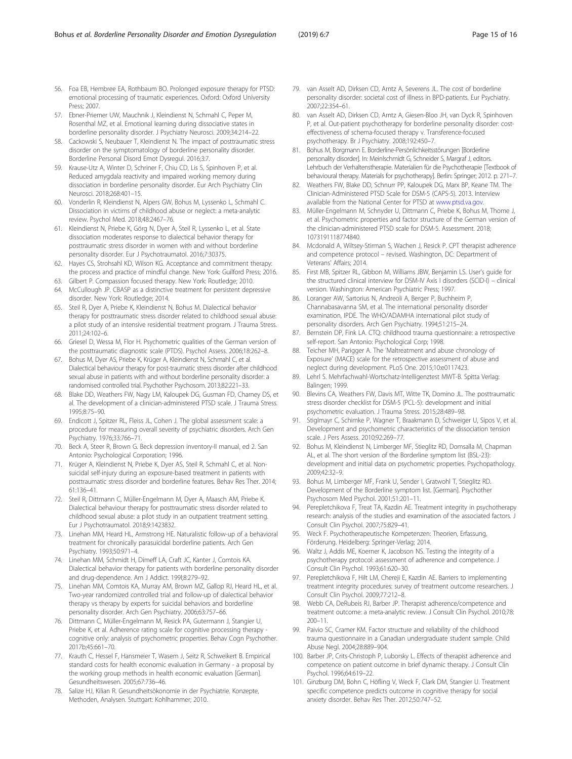- <span id="page-14-0"></span>56. Foa EB, Hembree EA, Rothbaum BO. Prolonged exposure therapy for PTSD: emotional processing of traumatic experiences. Oxford: Oxford University Press; 2007.
- 57. Ebner-Priemer UW, Mauchnik J, Kleindienst N, Schmahl C, Peper M, Rosenthal MZ, et al. Emotional learning during dissociative states in borderline personality disorder. J Psychiatry Neurosci. 2009;34:214–22.
- Cackowski S, Neubauer T, Kleindienst N. The impact of posttraumatic stress disorder on the symptomatology of borderline personality disorder. Borderline Personal Disord Emot Dysregul. 2016;3:7.
- 59. Krause-Utz A, Winter D, Schriner F, Chiu CD, Lis S, Spinhoven P, et al. Reduced amygdala reactivity and impaired working memory during dissociation in borderline personality disorder. Eur Arch Psychiatry Clin Neurosci. 2018;268:401–15.
- 60. Vonderlin R, Kleindienst N, Alpers GW, Bohus M, Lyssenko L, Schmahl C. Dissociation in victims of childhood abuse or neglect: a meta-analytic review. Psychol Med. 2018;48:2467–76.
- 61. Kleindienst N, Priebe K, Görg N, Dyer A, Steil R, Lyssenko L, et al. State dissociation moderates response to dialectical behavior therapy for posttraumatic stress disorder in women with and without borderline personality disorder. Eur J Psychotraumatol. 2016;7:30375.
- 62. Hayes CS, Strohsahl KD, Wilson KG. Acceptance and commitment therapy: the process and practice of mindful change. New York: Guilford Press; 2016.
- 63. Gilbert P. Compassion focused therapy. New York: Routledge; 2010. 64. McCullough JP. CBASP as a distinctive treatment for persistent depressive
- disorder. New York: Routledge; 2014. 65. Steil R, Dyer A, Priebe K, Kleindienst N, Bohus M. Dialectical behavior
- therapy for posttraumatic stress disorder related to childhood sexual abuse: a pilot study of an intensive residential treatment program. J Trauma Stress. 2011;24:102–6.
- 66. Griesel D, Wessa M, Flor H. Psychometric qualities of the German version of the posttraumatic diagnostic scale (PTDS). Psychol Assess. 2006;18:262–8.
- 67. Bohus M, Dyer AS, Priebe K, Krüger A, Kleindienst N, Schmahl C, et al. Dialectical behaviour therapy for post-traumatic stress disorder after childhood sexual abuse in patients with and without borderline personality disorder: a randomised controlled trial. Psychother Psychosom. 2013;82:221–33.
- 68. Blake DD, Weathers FW, Nagy LM, Kaloupek DG, Gusman FD, Charney DS, et al. The development of a clinician-administered PTSD scale. J Trauma Stress. 1995;8:75–90.
- 69. Endicott J, Spitzer RL, Fleiss JL, Cohen J. The global assessment scale: a procedure for measuring overall severity of psychiatric disorders. Arch Gen Psychiatry. 1976;33:766–71.
- 70. Beck A, Steer R, Brown G. Beck depression inventory-II manual, ed 2. San Antonio: Psychological Corporation; 1996.
- 71. Krüger A, Kleindienst N, Priebe K, Dyer AS, Steil R, Schmahl C, et al. Nonsuicidal self-injury during an exposure-based treatment in patients with posttraumatic stress disorder and borderline features. Behav Res Ther. 2014; 61:136–41.
- 72. Steil R, Dittmann C, Müller-Engelmann M, Dyer A, Maasch AM, Priebe K. Dialectical behaviour therapy for posttraumatic stress disorder related to childhood sexual abuse: a pilot study in an outpatient treatment setting. Eur J Psychotraumatol. 2018;9:1423832.
- 73. Linehan MM, Heard HL, Armstrong HE. Naturalistic follow-up of a behavioral treatment for chronically parasuicidal borderline patients. Arch Gen Psychiatry. 1993;50:971–4.
- 74. Linehan MM, Schmidt H, Dimeff LA, Craft JC, Kanter J, Comtois KA. Dialectical behavior therapy for patients with borderline personality disorder and drug-dependence. Am J Addict. 199l;8:279–92.
- 75. Linehan MM, Comtois KA, Murray AM, Brown MZ, Gallop RJ, Heard HL, et al. Two-year randomized controlled trial and follow-up of dialectical behavior therapy vs therapy by experts for suicidal behaviors and borderline personality disorder. Arch Gen Psychiatry. 2006;63:757–66.
- 76. Dittmann C, Müller-Engelmann M, Resick PA, Gutermann J, Stangier U, Priebe K, et al. Adherence rating scale for cognitive processing therapy cognitive only: analysis of psychometric properties. Behav Cogn Psychother. 2017b;45:661–70.
- 77. Krauth C, Hessel F, Hansmeier T, Wasem J, Seitz R, Schweikert B. Empirical standard costs for health economic evaluation in Germany - a proposal by the working group methods in health economic evaluation [German]. Gesundheitswesen. 2005;67:736–46.
- 78. Salize HJ, Kilian R. Gesundheitsökonomie in der Psychiatrie. Konzepte, Methoden, Analysen. Stuttgart: Kohlhammer; 2010.
- 79. van Asselt AD, Dirksen CD, Arntz A, Severens JL. The cost of borderline personality disorder: societal cost of illness in BPD-patients. Eur Psychiatry. 2007;22:354–61.
- 80. van Asselt AD, Dirksen CD, Arntz A, Giesen-Bloo JH, van Dyck R, Spinhoven P, et al. Out-patient psychotherapy for borderline personality disorder: costeffectiveness of schema-focused therapy v. Transference-focused psychotherapy. Br J Psychiatry. 2008;192:450–7.
- 81. Bohus M, Borgmann E. Borderline-Persönlichkeitsstörungen [Borderline personality disorder]. In: Meinlschmidt G, Schneider S, Margraf J, editors. Lehrbuch der Verhaltenstherapie. Materialien für die Psychotherapie [Textbook of behavioural therapy. Materials for psychotherapy]. Berlin: Springer; 2012. p. 271–7.
- 82. Weathers FW, Blake DD, Schnurr PP, Kaloupek DG, Marx BP, Keane TM. The Clinician-Administered PTSD Scale for DSM-5 (CAPS-5). 2013. Interview available from the National Center for PTSD at [www.ptsd.va.gov.](http://www.ptsd.va.gov)
- 83. Müller-Engelmann M, Schnyder U, Dittmann C, Priebe K, Bohus M, Thome J, et al. Psychometric properties and factor structure of the German version of the clinician-administered PTSD scale for DSM-5. Assessment. 2018; 1073191118774840.
- 84. Mcdonald A, Wiltsey-Stirman S, Wachen J, Resick P. CPT therapist adherence and competence protocol – revised. Washington, DC: Department of Veterans' Affairs; 2014.
- 85. First MB, Spitzer RL, Gibbon M, Williams JBW, Benjamin LS. User's guide for the structured clinical interview for DSM-IV Axis I disorders (SCID-I) – clinical version. Washington: American Psychiatric Press; 1997.
- 86. Loranger AW, Sartorius N, Andreoli A, Berger P, Buchheim P, Channabasavanna SM, et al. The international personality disorder examination, IPDE. The WHO/ADAMHA international pilot study of personality disorders. Arch Gen Psychiatry. 1994;51:215–24.
- 87. Bernstein DP, Fink LA. CTQ: childhood trauma questionnaire: a retrospective self-report. San Antonio: Psychological Corp; 1998.
- 88. Teicher MH, Parigger A. The 'Maltreatment and abuse chronology of Exposure' (MACE) scale for the retrospective assessment of abuse and neglect during development. PLoS One. 2015;10:e0117423.
- 89. Lehrl S. Mehrfachwahl-Wortschatz-Intelligenztest MWT-B. Spitta Verlag: Balingen; 1999.
- 90. Blevins CA, Weathers FW, Davis MT, Witte TK, Domino JL. The posttraumatic stress disorder checklist for DSM-5 (PCL-5): development and initial psychometric evaluation. J Trauma Stress. 2015;28:489–98.
- 91. Stiglmayr C, Schimke P, Wagner T, Braakmann D, Schweiger U, Sipos V, et al. Development and psychometric characteristics of the dissociation tension scale. J Pers Assess. 2010;92:269–77.
- 92. Bohus M, Kleindienst N, Limberger MF, Stieglitz RD, Domsalla M, Chapman AL, et al. The short version of the Borderline symptom list (BSL-23): development and initial data on psychometric properties. Psychopathology. 2009;42:32–9.
- 93. Bohus M, Limberger MF, Frank U, Sender I, Gratwohl T, Stieglitz RD. Development of the Borderline symptom list. [German]. Psychother Psychosom Med Psychol. 2001;51:201–11.
- 94. Perepletchikova F, Treat TA, Kazdin AE. Treatment integrity in psychotherapy research: analysis of the studies and examination of the associated factors. J Consult Clin Psychol. 2007;75:829–41.
- 95. Weck F. Psychotherapeutische Kompetenzen: Theorien, Erfassung, Förderung. Heidelberg: Springer-Verlag; 2014.
- 96. Waltz J, Addis ME, Koerner K, Jacobson NS. Testing the integrity of a psychotherapy protocol: assessment of adherence and competence. J Consult Clin Psychol. 1993;61:620–30.
- 97. Perepletchikova F, Hilt LM, Chereji E, Kazdin AE. Barriers to implementing treatment integrity procedures: survey of treatment outcome researchers. J Consult Clin Psychol. 2009;77:212–8.
- 98. Webb CA, DeRubeis RJ, Barber JP. Therapist adherence/competence and treatment outcome: a meta-analytic review. J Consult Clin Psychol. 2010;78: 200–11.
- 99. Paivio SC, Cramer KM. Factor structure and reliability of the childhood trauma questionnaire in a Canadian undergraduate student sample. Child Abuse Negl. 2004;28:889–904.
- 100. Barber JP, Crits-Christoph P, Luborsky L. Effects of therapist adherence and competence on patient outcome in brief dynamic therapy. J Consult Clin Psychol. 1996;64:619–22.
- 101. Ginzburg DM, Bohn C, Höfling V, Weck F, Clark DM, Stangier U. Treatment specific competence predicts outcome in cognitive therapy for social anxiety disorder. Behav Res Ther. 2012;50:747–52.